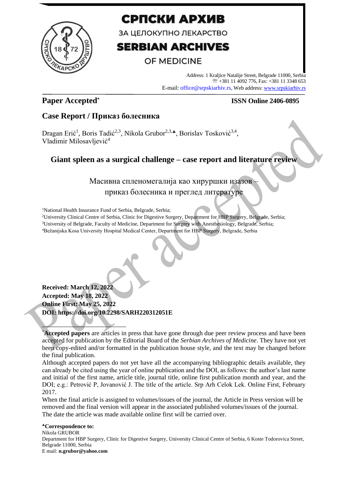

# СРПСКИ АРХИВ

ЗА ЦЕЛОКУПНО ЛЕКАРСТВО

# **SERBIAN ARCHIVES**

# OF MEDICINE

Address: 1 Kraljice Natalije Street, Belgrade 11000, Serbia +381 11 4092 776, Fax: +381 11 3348 653 E-mail: office@srpskiarhiv.rs, Web address[: www.srpskiarhiv.rs](http://www.srpskiarhiv.rs/)

# **Paper Accepted\***

## **ISSN Online 2406-0895**

# **Case Report / Приказ болесника**

Dragan Erić<sup>1</sup>, Boris Tadić<sup>2,3</sup>, Nikola Grubor<sup>2,3,</sup>\*, Borislav Tosković<sup>3,4</sup>, Vladimir Milosavljević<sup>4</sup>

# **Giant spleen as a surgical challenge – case report and literature review**

Масивна спленомегалија као хируршки изазов – приказ болесника и преглед литературе

<sup>1</sup>National Health Insurance Fund of Serbia, Belgrade, Serbia;

<sup>2</sup>University Clinical Centre of Serbia, Clinic for Digestive Surgery, Department for HBP Surgery, Belgrade, Serbia; <sup>3</sup>University of Belgrade, Faculty of Medicine, Department for Surgery with Anesthesiology, Belgrade, Serbia; <sup>4</sup>Bežanijska Kosa University Hospital Medical Center, Department for HBP Surgery, Belgrade, Serbia

**Received: March 12, 2022 Accepted: May 18, 2022 Online First: May 25, 2022 DOI: https://doi.org/10.2298/SARH220312051E**

\***Accepted papers** are articles in press that have gone through due peer review process and have been accepted for publication by the Editorial Board of the *Serbian Archives of Medicine*. They have not yet been copy-edited and/or formatted in the publication house style, and the text may be changed before the final publication.

Although accepted papers do not yet have all the accompanying bibliographic details available, they can already be cited using the year of online publication and the DOI, as follows: the author's last name and initial of the first name, article title, journal title, online first publication month and year, and the DOI; e.g.: Petrović P, Jovanović J. The title of the article. Srp Arh Celok Lek. Online First, February 2017.

When the final article is assigned to volumes/issues of the journal, the Article in Press version will be removed and the final version will appear in the associated published volumes/issues of the journal. The date the article was made available online first will be carried over.

### **Correspondence to:**

Nikola GRUBOR Department for HBP Surgery, Clinic for Digestive Surgery, University Clinical Centre of Serbia, 6 Koste Todorovica Street, Belgrade 11000, Serbia E mail: **n.grubor@yahoo.com**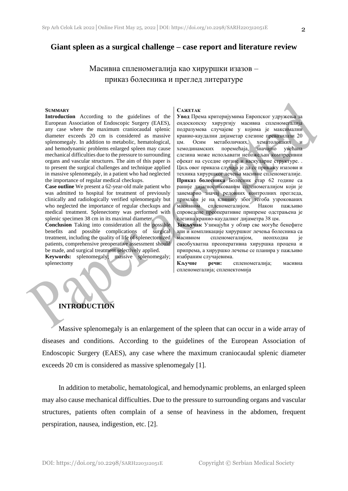Масивна спленомегалија као хируршки изазов – приказ болесника и преглед литературе

#### **SUMMARY**

**Introduction** According to the guidelines of the European Association of Endoscopic Surgery (EAES), any case where the maximum craniocaudal splenic diameter exceeds 20 cm is considered as massive splenomegaly. In addition to metabolic, hematological, and hemodynamic problems enlarged spleen may cause mechanical difficulties due to the pressure to surrounding organs and vascular structures. The aim of this paper is to present the surgical challenges and technique applied in massive splenomegaly, in a patient who had neglected the importance of regular medical checkups.

**Case outline** We present a 62-year-old male patient who was admitted to hospital for treatment of previously clinically and radiologically verified splenomegaly but who neglected the importance of regular checkups and medical treatment. Splenectomy was performed with splenic specimen 38 cm in its maximal diameter.

**Conclusion** Taking into consideration all the possible benefits and possible complications of surgical treatment, including the quality of life of splenectomized patients, comprehensive preoperative assessment should be made, and surgical treatment selectively applied.

**Keywords:** splenomegaly; massive splenomegaly; splenectomy

#### **САЖЕТАК**

**Увод** Према критеријумима Европског удружења за ендоскопску хирургију масивна спленомегалија подразумева случајеве у којима је максимални кранио-каудални дијаметар слезине превазилази 20 цм. Осим метаболичких, хематолошких и хемодинамских поремећаја, значајно увећана слезина може испољавати непожељан компресивни ефекат на суседне органе и васкуларне структуре. . Циљ овог приказа случаја је да се прикажу изазови и техника хируршког лечења масивне спленомегалије. **Приказ болесника** Болесник стар 62 године са раније дијагностикованом спленомегалијом који је занемарио значај редовних контролних прегледа, примљен је на клинику због тегоба узрокованих масивном спленомегалијом. Након пажљиво спроведене преоперативне припреме одстрањена је слезина кранио-каудалног дијаметра 38 цм.

**Закључак** Узимајући у обзир све могуће бенефите али и компликације хируршког лечења болесника са масивном спленомегалијом, неопходна је свеобухватна преоперативна хируршка процена и припрема, а хируршко лечење се планира у пажљиво изабраним случајевима.

**Кључне речи:** спленомегалија; масивна спленомегалија; спленектомија

### **INTRODUCTION**

Massive splenomegaly is an enlargement of the spleen that can occur in a wide array of diseases and conditions. According to the guidelines of the European Association of Endoscopic Surgery (EAES), any case where the maximum craniocaudal splenic diameter exceeds 20 cm is considered as massive splenomegaly [1].

In addition to metabolic, hematological, and hemodynamic problems, an enlarged spleen may also cause mechanical difficulties. Due to the pressure to surrounding organs and vascular structures, patients often complain of a sense of heaviness in the abdomen, frequent perspiration, nausea, indigestion, etc. [2].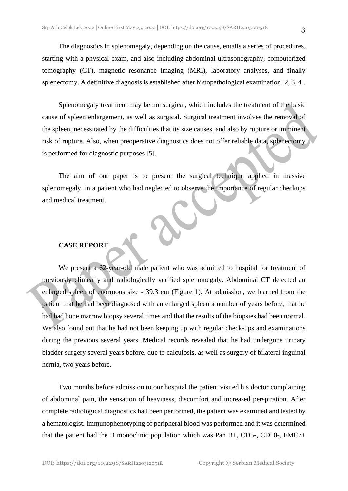The diagnostics in splenomegaly, depending on the cause, entails a series of procedures, starting with a physical exam, and also including abdominal ultrasonography, computerized tomography (CT), magnetic resonance imaging (MRI), laboratory analyses, and finally splenectomy. A definitive diagnosis is established after histopathological examination [2, 3, 4].

Splenomegaly treatment may be nonsurgical, which includes the treatment of the basic cause of spleen enlargement, as well as surgical. Surgical treatment involves the removal of the spleen, necessitated by the difficulties that its size causes, and also by rupture or imminent risk of rupture. Also, when preoperative diagnostics does not offer reliable data, splenectomy is performed for diagnostic purposes [5].

The aim of our paper is to present the surgical technique applied in massive splenomegaly, in a patient who had neglected to observe the importance of regular checkups and medical treatment.

### **CASE REPORT**

We present a 62-year-old male patient who was admitted to hospital for treatment of previously clinically and radiologically verified splenomegaly. Abdominal CT detected an enlarged spleen of enormous size - 39.3 cm (Figure 1). At admission, we learned from the patient that he had been diagnosed with an enlarged spleen a number of years before, that he had had bone marrow biopsy several times and that the results of the biopsies had been normal. We also found out that he had not been keeping up with regular check-ups and examinations during the previous several years. Medical records revealed that he had undergone urinary bladder surgery several years before, due to calculosis, as well as surgery of bilateral inguinal hernia, two years before.

Two months before admission to our hospital the patient visited his doctor complaining of abdominal pain, the sensation of heaviness, discomfort and increased perspiration. After complete radiological diagnostics had been performed, the patient was examined and tested by a hematologist. Immunophenotyping of peripheral blood was performed and it was determined that the patient had the B monoclinic population which was Pan B+, CD5-, CD10-, FMC7+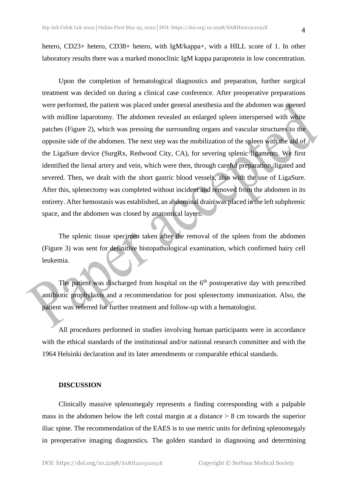hetero, CD23+ hetero, CD38+ hetero, with IgM/kappa+, with a HILL score of 1. In other laboratory results there was a marked monoclinic IgM kappa paraprotein in low concentration.

Upon the completion of hematological diagnostics and preparation, further surgical treatment was decided on during a clinical case conference. After preoperative preparations were performed, the patient was placed under general anesthesia and the abdomen was opened with midline laparotomy. The abdomen revealed an enlarged spleen interspersed with white patches (Figure 2), which was pressing the surrounding organs and vascular structures to the opposite side of the abdomen. The next step was the mobilization of the spleen with the aid of the LigaSure device (SurgRx, Redwood City, CA), for severing splenic ligaments. We first identified the lienal artery and vein, which were then, through careful preparation, ligated and severed. Then, we dealt with the short gastric blood vessels, also with the use of LigaSure. After this, splenectomy was completed without incident and removed from the abdomen in its entirety. After hemostasis was established, an abdominal drain was placed in the left subphrenic space, and the abdomen was closed by anatomical layers.

The splenic tissue specimen taken after the removal of the spleen from the abdomen (Figure 3) was sent for definitive histopathological examination, which confirmed hairy cell leukemia.

The patient was discharged from hospital on the  $6<sup>th</sup>$  postoperative day with prescribed antibiotic prophylaxis and a recommendation for post splenectomy immunization. Also, the patient was referred for further treatment and follow-up with a hematologist.

All procedures performed in studies involving human participants were in accordance with the ethical standards of the institutional and/or national research committee and with the 1964 Helsinki declaration and its later amendments or comparable ethical standards.

### **DISCUSSION**

Clinically massive splenomegaly represents a finding corresponding with a palpable mass in the abdomen below the left costal margin at a distance  $> 8$  cm towards the superior iliac spine. The recommendation of the EAES is to use metric units for defining splenomegaly in preoperative imaging diagnostics. The golden standard in diagnosing and determining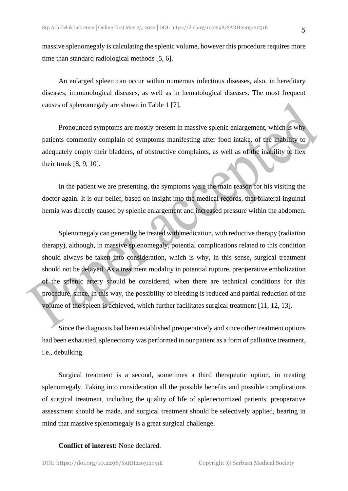massive splenomegaly is calculating the splenic volume, however this procedure requires more time than standard radiological methods [5, 6].

An enlarged spleen can occur within numerous infectious diseases, also, in hereditary diseases, immunological diseases, as well as in hematological diseases. The most frequent causes of splenomegaly are shown in Table 1 [7].

Pronounced symptoms are mostly present in massive splenic enlargement, which is why patients commonly complain of symptoms manifesting after food intake, of the inability to adequately empty their bladders, of obstructive complaints, as well as of the inability to flex their trunk [8, 9, 10].

In the patient we are presenting, the symptoms were the main reason for his visiting the doctor again. It is our belief, based on insight into the medical records, that bilateral inguinal hernia was directly caused by splenic enlargement and increased pressure within the abdomen.

Splenomegaly can generally be treated with medication, with reductive therapy (radiation therapy), although, in massive splenomegaly, potential complications related to this condition should always be taken into consideration, which is why, in this sense, surgical treatment should not be delayed. As a treatment modality in potential rupture, preoperative embolization of the splenic artery should be considered, when there are technical conditions for this procedure, since, in this way, the possibility of bleeding is reduced and partial reduction of the volume of the spleen is achieved, which further facilitates surgical treatment [11, 12, 13].

Since the diagnosis had been established preoperatively and since other treatment options had been exhausted, splenectomy was performed in our patient as a form of palliative treatment, i.e., debulking.

Surgical treatment is a second, sometimes a third therapeutic option, in treating splenomegaly. Taking into consideration all the possible benefits and possible complications of surgical treatment, including the quality of life of splenectomized patients, preoperative assessment should be made, and surgical treatment should be selectively applied, bearing in mind that massive splenomegaly is a great surgical challenge.

### **Conflict of interest:** None declared.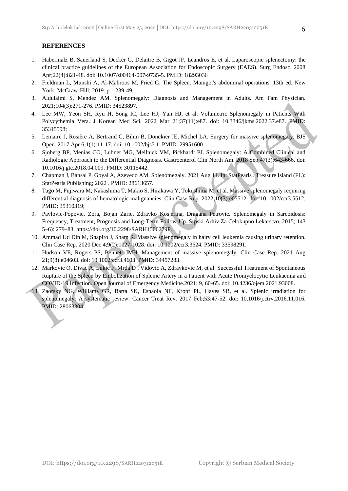### **REFERENCES**

- 1. Habermalz B, Sauerland S, Decker G, Delaitre B, Gigot JF, Leandros E, et al. Laparoscopic splenectomy: the clinical practice guidelines of the European Association for Endoscopic Surgery (EAES). Surg Endosc. 2008 Apr;22(4):821-48. doi: 10.1007/s00464-007-9735-5. PMID: 18293036
- 2. Fieldman L, Munshi A, Al-Mahroos M, Fried G. The Spleen. Maingot's abdominal operations. 13th ed. New York: McGraw-Hill; 2019. p. 1239-49.
- 3. Aldulaimi S, Mendez AM. Splenomegaly: Diagnosis and Management in Adults. Am Fam Physician. 2021;104(3):271-276. PMID: 34523897.
- 4. Lee MW, Yeon SH, Ryu H, Song IC, Lee HJ, Yun HJ, et al. Volumetric Splenomegaly in Patients With Polycythemia Vera. J Korean Med Sci. 2022 Mar 21;37(11):e87. doi: 10.3346/jkms.2022.37.e87. PMID: 35315598;
- 5. Lemaire J, Rosière A, Bertrand C, Bihin B, Donckier JE, Michel LA. Surgery for massive splenomegaly. BJS Open. 2017 Apr 6;1(1):11-17. doi: 10.1002/bjs5.1. PMID: 29951600
- 6. Sjoberg BP, Menias CO, Lubner MG, Mellnick VM, Pickhardt PJ. Splenomegaly: A Combined Clinical and Radiologic Approach to the Differential Diagnosis. Gastroenterol Clin North Am. 2018 Sep;47(3):643-666. doi: 10.1016/j.gtc.2018.04.009. PMID: 30115442.
- 7. Chapman J, Bansal P, Goyal A, Azevedo AM. Splenomegaly. 2021 Aug 11. In: StatPearls . Treasure Island (FL): StatPearls Publishing; 2022 . PMID: 28613657.
- 8. Tago M, Fujiwara M, Nakashima T, Makio S, Hirakawa Y, Tokushima M, et al. Massive splenomegaly requiring differential diagnosis of hematologic malignancies. Clin Case Rep. 2022;10(3):e05512. doi: 10.1002/ccr3.5512. PMID: 35310319;
- 9. Pavlovic-Popovic, Zora, Bojan Zaric, Zdravko Kosjerina, Dragana Petrovic. Splenomegaly in Sarcoidosis: Frequency, Treatment, Prognosis and Long-Term Follow-Up. Srpski Arhiv Za Celokupno Lekarstvo. 2015; 143 5–6): 279–83. https://doi.org/10.2298/SARH1506279P.
- 10. Ammad Ud Din M, Shapiro J, Sham R. Massive splenomegaly in hairy cell leukemia causing urinary retention. Clin Case Rep. 2020 Dec 4;9(2):1027-1028. doi: 10.1002/ccr3.3624. PMID: 33598291.
- 11. Hudson VE, Rogers PS, Bennett JMH. Management of massive splenomegaly. Clin Case Rep. 2021 Aug 21;9(8):e04603. doi: 10.1002/ccr3.4603. PMID: 34457283.
- 12. Markovic O, Divac A, Lukic F, Mrda D , Vidovic A, Zdravkovic M, et al. Successful Treatment of Spontaneous Rupture of the Spleen by Embolization of Splenic Artery in a Patient with Acute Promyelocytic Leukaemia and COVID-19 Infection. Open Journal of Emergency Medicine.2021; 9, 60-65. doi: 10.4236/ojem.2021.93008.
- 13. Zaorsky NG, Williams GR, Barta SK, Esnaola NF, Kropf PL, Hayes SB, et al. Splenic irradiation for splenomegaly: A systematic review. Cancer Treat Rev. 2017 Feb;53:47-52. doi: 10.1016/j.ctrv.2016.11.016. PMID: 28063304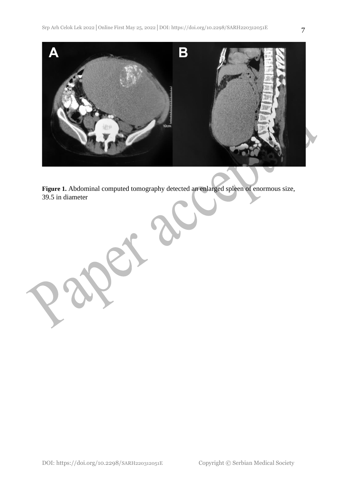

**Figure 1.** Abdominal computed tomography detected an enlarged spleen of enormous size, 39.5 in diameter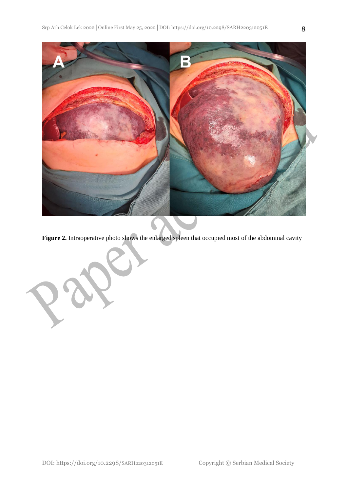

Figure 2. Intraoperative photo shows the enlarged spleen that occupied most of the abdominal cavity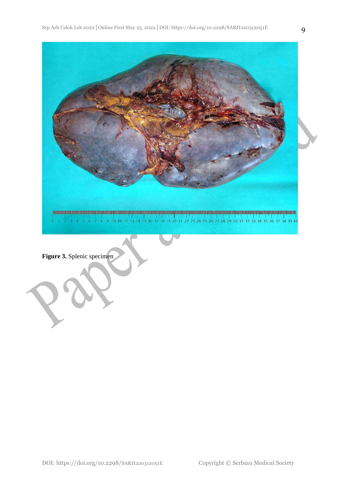